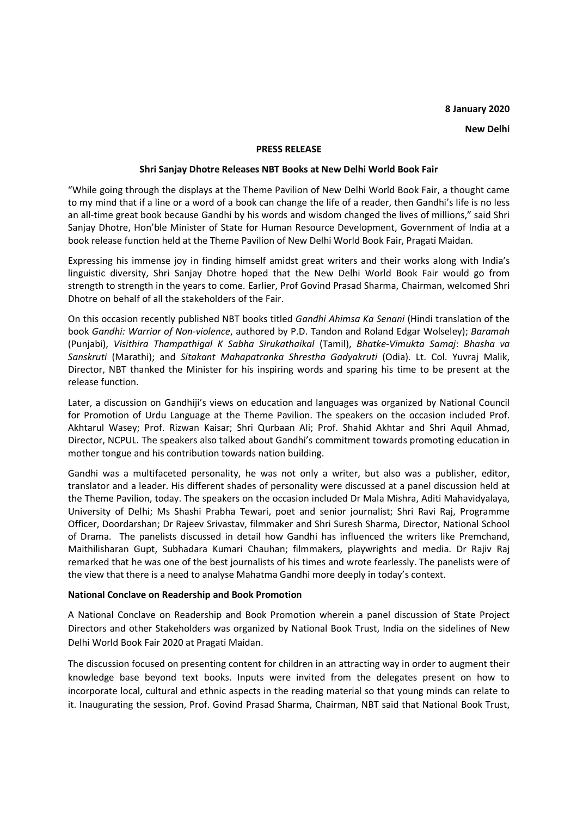# **8 January 2020**

**New Delhi** 

#### **PRESS RELEASE**

## **Shri Sanjay Dhotre Releases NBT Books at New Delhi World Book Fair**

"While going through the displays at the Theme Pavilion of New Delhi World Book Fair, a thought came to my mind that if a line or a word of a book can change the life of a reader, then Gandhi's life is no less an all-time great book because Gandhi by his words and wisdom changed the lives of millions," said Shri Sanjay Dhotre, Hon'ble Minister of State for Human Resource Development, Government of India at a book release function held at the Theme Pavilion of New Delhi World Book Fair, Pragati Maidan.

Expressing his immense joy in finding himself amidst great writers and their works along with India's linguistic diversity, Shri Sanjay Dhotre hoped that the New Delhi World Book Fair would go from strength to strength in the years to come. Earlier, Prof Govind Prasad Sharma, Chairman, welcomed Shri Dhotre on behalf of all the stakeholders of the Fair.

On this occasion recently published NBT books titled *Gandhi Ahimsa Ka Senani* (Hindi translation of the book *Gandhi: Warrior of Non-violence*, authored by P.D. Tandon and Roland Edgar Wolseley); *Baramah* (Punjabi), *Visithira Thampathigal K Sabha Sirukathaikal* (Tamil), *Bhatke-Vimukta Samaj*: *Bhasha va Sanskruti* (Marathi); and *Sitakant Mahapatranka Shrestha Gadyakruti* (Odia). Lt. Col. Yuvraj Malik, Director, NBT thanked the Minister for his inspiring words and sparing his time to be present at the release function.

Later, a discussion on Gandhiji's views on education and languages was organized by National Council for Promotion of Urdu Language at the Theme Pavilion. The speakers on the occasion included Prof. Akhtarul Wasey; Prof. Rizwan Kaisar; Shri Qurbaan Ali; Prof. Shahid Akhtar and Shri Aquil Ahmad, Director, NCPUL. The speakers also talked about Gandhi's commitment towards promoting education in mother tongue and his contribution towards nation building.

Gandhi was a multifaceted personality, he was not only a writer, but also was a publisher, editor, translator and a leader. His different shades of personality were discussed at a panel discussion held at the Theme Pavilion, today. The speakers on the occasion included Dr Mala Mishra, Aditi Mahavidyalaya, University of Delhi; Ms Shashi Prabha Tewari, poet and senior journalist; Shri Ravi Raj, Programme Officer, Doordarshan; Dr Rajeev Srivastav, filmmaker and Shri Suresh Sharma, Director, National School of Drama. The panelists discussed in detail how Gandhi has influenced the writers like Premchand, Maithilisharan Gupt, Subhadara Kumari Chauhan; filmmakers, playwrights and media. Dr Rajiv Raj remarked that he was one of the best journalists of his times and wrote fearlessly. The panelists were of the view that there is a need to analyse Mahatma Gandhi more deeply in today's context.

#### **National Conclave on Readership and Book Promotion**

A National Conclave on Readership and Book Promotion wherein a panel discussion of State Project Directors and other Stakeholders was organized by National Book Trust, India on the sidelines of New Delhi World Book Fair 2020 at Pragati Maidan.

The discussion focused on presenting content for children in an attracting way in order to augment their knowledge base beyond text books. Inputs were invited from the delegates present on how to incorporate local, cultural and ethnic aspects in the reading material so that young minds can relate to it. Inaugurating the session, Prof. Govind Prasad Sharma, Chairman, NBT said that National Book Trust,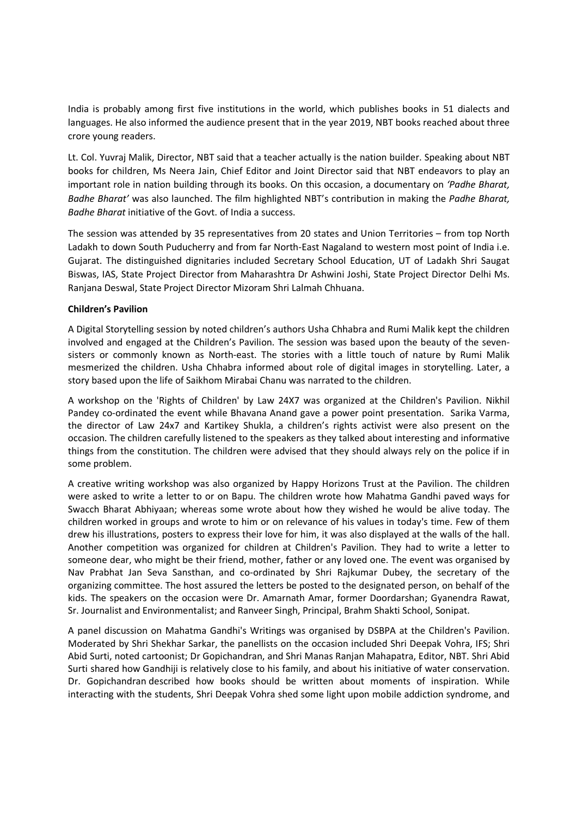India is probably among first five institutions in the world, which publishes books in 51 dialects and languages. He also informed the audience present that in the year 2019, NBT books reached about three crore young readers.

Lt. Col. Yuvraj Malik, Director, NBT said that a teacher actually is the nation builder. Speaking about NBT books for children, Ms Neera Jain, Chief Editor and Joint Director said that NBT endeavors to play an important role in nation building through its books. On this occasion, a documentary on *'Padhe Bharat, Badhe Bharat'* was also launched. The film highlighted NBT's contribution in making the *Padhe Bharat, Badhe Bharat* initiative of the Govt. of India a success.

The session was attended by 35 representatives from 20 states and Union Territories – from top North Ladakh to down South Puducherry and from far North-East Nagaland to western most point of India i.e. Gujarat. The distinguished dignitaries included Secretary School Education, UT of Ladakh Shri Saugat Biswas, IAS, State Project Director from Maharashtra Dr Ashwini Joshi, State Project Director Delhi Ms. Ranjana Deswal, State Project Director Mizoram Shri Lalmah Chhuana.

## **Children's Pavilion**

A Digital Storytelling session by noted children's authors Usha Chhabra and Rumi Malik kept the children involved and engaged at the Children's Pavilion. The session was based upon the beauty of the sevensisters or commonly known as North-east. The stories with a little touch of nature by Rumi Malik mesmerized the children. Usha Chhabra informed about role of digital images in storytelling. Later, a story based upon the life of Saikhom Mirabai Chanu was narrated to the children.

A workshop on the 'Rights of Children' by Law 24X7 was organized at the Children's Pavilion. Nikhil Pandey co-ordinated the event while Bhavana Anand gave a power point presentation. Sarika Varma, the director of Law 24x7 and Kartikey Shukla, a children's rights activist were also present on the occasion. The children carefully listened to the speakers as they talked about interesting and informative things from the constitution. The children were advised that they should always rely on the police if in some problem.

A creative writing workshop was also organized by Happy Horizons Trust at the Pavilion. The children were asked to write a letter to or on Bapu. The children wrote how Mahatma Gandhi paved ways for Swacch Bharat Abhiyaan; whereas some wrote about how they wished he would be alive today. The children worked in groups and wrote to him or on relevance of his values in today's time. Few of them drew his illustrations, posters to express their love for him, it was also displayed at the walls of the hall. Another competition was organized for children at Children's Pavilion. They had to write a letter to someone dear, who might be their friend, mother, father or any loved one. The event was organised by Nav Prabhat Jan Seva Sansthan, and co-ordinated by Shri Rajkumar Dubey, the secretary of the organizing committee. The host assured the letters be posted to the designated person, on behalf of the kids. The speakers on the occasion were Dr. Amarnath Amar, former Doordarshan; Gyanendra Rawat, Sr. Journalist and Environmentalist; and Ranveer Singh, Principal, Brahm Shakti School, Sonipat.

A panel discussion on Mahatma Gandhi's Writings was organised by DSBPA at the Children's Pavilion. Moderated by Shri Shekhar Sarkar, the panellists on the occasion included Shri Deepak Vohra, IFS; Shri Abid Surti, noted cartoonist; Dr Gopichandran, and Shri Manas Ranjan Mahapatra, Editor, NBT. Shri Abid Surti shared how Gandhiji is relatively close to his family, and about his initiative of water conservation. Dr. Gopichandran described how books should be written about moments of inspiration. While interacting with the students, Shri Deepak Vohra shed some light upon mobile addiction syndrome, and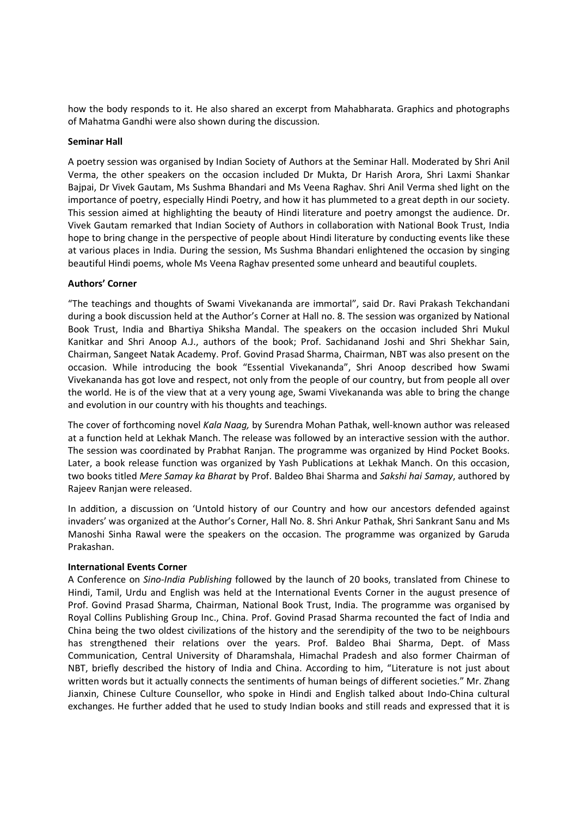how the body responds to it. He also shared an excerpt from Mahabharata. Graphics and photographs of Mahatma Gandhi were also shown during the discussion.

## **Seminar Hall**

A poetry session was organised by Indian Society of Authors at the Seminar Hall. Moderated by Shri Anil Verma, the other speakers on the occasion included Dr Mukta, Dr Harish Arora, Shri Laxmi Shankar Bajpai, Dr Vivek Gautam, Ms Sushma Bhandari and Ms Veena Raghav. Shri Anil Verma shed light on the importance of poetry, especially Hindi Poetry, and how it has plummeted to a great depth in our society. This session aimed at highlighting the beauty of Hindi literature and poetry amongst the audience. Dr. Vivek Gautam remarked that Indian Society of Authors in collaboration with National Book Trust, India hope to bring change in the perspective of people about Hindi literature by conducting events like these at various places in India. During the session, Ms Sushma Bhandari enlightened the occasion by singing beautiful Hindi poems, whole Ms Veena Raghav presented some unheard and beautiful couplets.

## **Authors' Corner**

"The teachings and thoughts of Swami Vivekananda are immortal", said Dr. Ravi Prakash Tekchandani during a book discussion held at the Author's Corner at Hall no. 8. The session was organized by National Book Trust, India and Bhartiya Shiksha Mandal. The speakers on the occasion included Shri Mukul Kanitkar and Shri Anoop A.J., authors of the book; Prof. Sachidanand Joshi and Shri Shekhar Sain, Chairman, Sangeet Natak Academy. Prof. Govind Prasad Sharma, Chairman, NBT was also present on the occasion. While introducing the book "Essential Vivekananda", Shri Anoop described how Swami Vivekananda has got love and respect, not only from the people of our country, but from people all over the world. He is of the view that at a very young age, Swami Vivekananda was able to bring the change and evolution in our country with his thoughts and teachings.

The cover of forthcoming novel *Kala Naag,* by Surendra Mohan Pathak, well-known author was released at a function held at Lekhak Manch. The release was followed by an interactive session with the author. The session was coordinated by Prabhat Ranjan. The programme was organized by Hind Pocket Books. Later, a book release function was organized by Yash Publications at Lekhak Manch. On this occasion, two books titled *Mere Samay ka Bharat* by Prof. Baldeo Bhai Sharma and *Sakshi hai Samay*, authored by Rajeev Ranjan were released.

In addition, a discussion on 'Untold history of our Country and how our ancestors defended against invaders' was organized at the Author's Corner, Hall No. 8. Shri Ankur Pathak, Shri Sankrant Sanu and Ms Manoshi Sinha Rawal were the speakers on the occasion. The programme was organized by Garuda Prakashan.

#### **International Events Corner**

A Conference on *Sino-India Publishing* followed by the launch of 20 books, translated from Chinese to Hindi, Tamil, Urdu and English was held at the International Events Corner in the august presence of Prof. Govind Prasad Sharma, Chairman, National Book Trust, India. The programme was organised by Royal Collins Publishing Group Inc., China. Prof. Govind Prasad Sharma recounted the fact of India and China being the two oldest civilizations of the history and the serendipity of the two to be neighbours has strengthened their relations over the years. Prof. Baldeo Bhai Sharma, Dept. of Mass Communication, Central University of Dharamshala, Himachal Pradesh and also former Chairman of NBT, briefly described the history of India and China. According to him, "Literature is not just about written words but it actually connects the sentiments of human beings of different societies." Mr. Zhang Jianxin, Chinese Culture Counsellor, who spoke in Hindi and English talked about Indo-China cultural exchanges. He further added that he used to study Indian books and still reads and expressed that it is